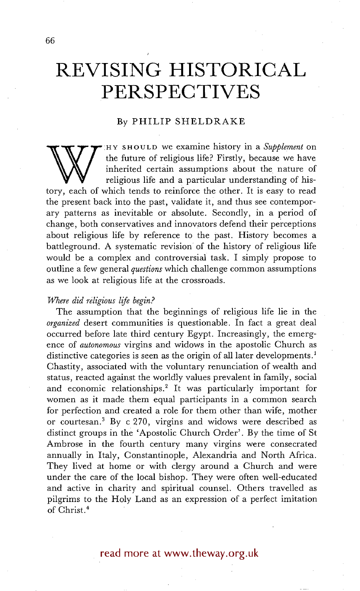# **REVISING HISTORICAL PERSPECTIVES**

**J** 

### By PHILIP SHELDRAKE

the future of religious life? Firstly, because we have<br>inherited certain assumptions about the nature of<br>religious life and a particular understanding of his-<br>tory, each of which tends to reinforce the other. It is easy to :HY SHOULD we examine history in a *Supplement* on the future of religious life? Firstly, because we have inherited certain assumptions about the nature of religious life and a particular understanding of histhe present back into the past, validate it, and thus see contemporary patterns as inevitable or absolute. Secondly, in a period of change, both conservatives and innovators defend their perceptions about religious life by reference to the past. History becomes a battleground. A systematic revision of the history of religious life would be a complex and controversial task. I simply propose to outline a few general *questions* which challenge common assumptions as we look at religious life at the crossroads.

#### *Where did religious life begin?*

The assumption that the beginnings of religious life lie in the *organized* desert communities is questionable. In fact a great deal occurred before late third century Egypt. Increasingly, the emergence of *autonomous* virgins and widows in the apostolic Church as distinctive categories is seen as the origin of all later developments.<sup>1</sup> Chastity, associated with the voluntary renunciation of wealth and status, reacted against the worldly values prevalent in family, social and economic relationships.<sup>2</sup> It was particularly important for women as it made them equal participants in a common search for perfection and created a role for them other than wife, mother or courtesan.<sup>3</sup> By c 270, virgins and widows were described as distinct groups in the 'Apostolic Church Order'. By the time of St Ambrose in the fourth century many virgins were consecrated annually in Italy, Constantinople, Alexandria and North Africa. They lived at home or with clergy around a Church and were under the care of the local bishop. They were often well-educated and active in charity and spiritual counsel. Others travelled as pilgrims to the Holy Land as an expression of a perfect imitation of Christ. 4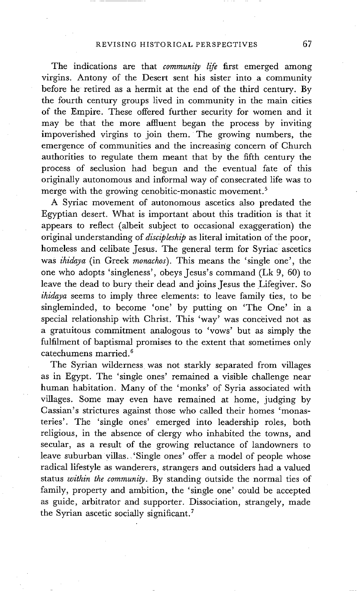The indications are that *community life* first emerged among virgins. Antony of the Desert sent his sister into a community before he retired as a hermit at the end of the third century. By the fourth century groups lived in community in the main cities of the Empire. These offered further security for women and it may be that the more affluent began the process by inviting impoverished virgins to join them. The growing numbers, the emergence of communities and the increasing concern of Church authorities to regulate them meant that by the fifth century the process of seclusion had begun and the eventual fate of this originally autonomous and informal way of consecrated life was to merge with the growing cenobitic-monastic movement.<sup>5</sup>

A Syriac movement of autonomous ascetics also predated the Egyptian desert. What is important about this tradition is that it appears to reflect (albeit subject to occasional exaggeration) the original understanding of *discipleship* as literal imitation of the poor, homeless and celibate Jesus. The general term for Syriac ascetics was *ihidaya* (in Greek *monachos).* This means the 'single one', the one who adopts 'singleness', obeys Jesus's command (Lk 9, 60) to leave the dead to bury their dead and joins Jesus the Lifegiver. So *ihidaya* seems to imply three elements: to leave family ties, to be singleminded, to become 'one' by putting on 'The One' in a special relationship with Christ. This 'way' was conceived not as a gratuitous commitment analogous to 'vows' but as simply the fulfilment of baptismal promises to the extent that sometimes only catechumens married.<sup>6</sup>

The Syrian wilderness was not starkly separated from villages as in Egypt. The 'single ones' remained a visible challenge near human habitation. Many of the 'monks' of Syria associated with villages. Some may even have remained at home, judging by Cassian's strictures against those who called their homes 'monasteries'. The 'single ones' emerged into leadership roles, both religious, in the absence of clergy who inhabited the towns, and secular, as a result of the growing reluctance of landowners to leave suburban villas., 'Single ones' offer a model of people whose radical lifestyle as wanderers, strangers and outsiders had a valued status *within the community.* By standing Outside the normal ties of family, property and ambition, the 'single one' could be accepted as guide, arbitrator and supporter. Dissociation, strangely, made the Syrian ascetic socially significant.<sup>7</sup>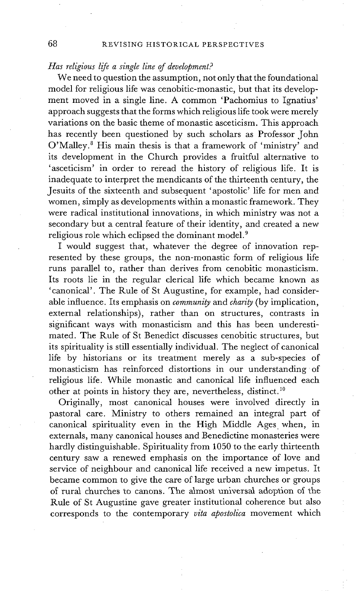## 68 REVISING HISTORICAL PERSPECTIVES

## *Has religious life a single line of development?*

We need to question the assumption, not only that the foundational model for religious life was cenobitic-monastic, but that its development moved in a single line. A common 'Pachomius to Ignatius' approach suggests that the forms which religious life took were merely variations on the basic theme of monastic asceticism. This approach has recently been questioned by such scholars as Professor John O'Malley.<sup>8</sup> His main thesis is that a framework of 'ministry' and its development in the Church provides a fruitful alternative to 'asceticism' in order to reread the history of religious life. It is inadequate to interpret the mendicants of the thirteenth century, the Jesuits of the sixteenth and subsequent 'apostolic' life for men and women, simply as developments within a monastic framework. They were radical institutional innovations, in which ministry was not a secondary but a central feature of their identity, and created a new religious role which eclipsed the dominant model.<sup>9</sup>

I would suggest that, whatever the degree of innovation represented by these groups, the non-monastic form of religious life runs parallel to, rather than derives from cenobitic monasticism. Its roots lie in the regular clerical life which became known as 'canonical'. The Rule of St Augustine, for example, had considerable influence. Its emphasis on *community* and *charity* (by implication, external relationships), rather than on structures, contrasts in significant ways with monasticism and this has been underestimated. The Rule of St Benedict discusses cenobitic structures, but its spirituality is still essentially individual. The neglect of canonical life by historians or its treatment merely as a sub-species of monasticism has reinforced distortions in our understanding of religious life. While monastic and canonical life influenced each other at points in history they are, nevertheless, distinct. 1°

Originally, most canonical houses were involved directly in pastoral care. Ministry to others remained an integral part of canonical spirituality even in the High Middle Ages. when, in externals, many canonical houses and Benedictine monasteries were hardly distinguishable. Spirituality from 1050 to the early thirteenth century saw a renewed emphasis on the importance of love and service of neighbour and canonical life received a new impetus. It became common to give the care of large urban churches or groups of rural churches to canons. The almost universal adoption of the Rule of St Augustine gave greater institutional coherence but also corresponds to the contemporary *vita apostoIica* movement which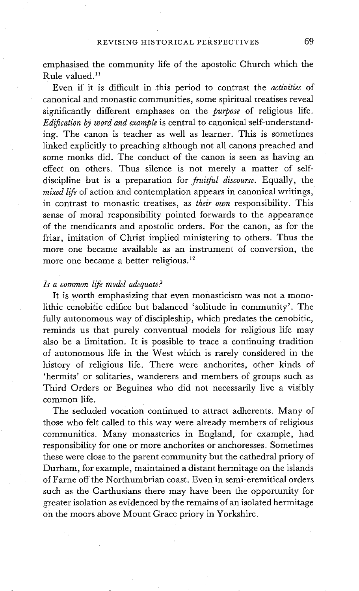emphasised the community life of the apostolic Church which the Rule valued. 11

Even if it is difficult in this period to contrast the *activities* of canonical and monastic communities, some spiritual treatises reveal significantly different emphases on the *purpose* of religious life. *Edification by word and example* is central to canonical self-understanding. The canon is teacher as well as learner. This is sometimes linked explicitly to preaching although not all canons preached and some monks did. The conduct of the canon is seen as having an effect on others. Thus silence is not merely a matter of selfdiscipline but is a preparation for *fruilful discourse.* Equally, the *mixed life* of action and contemplation appears in canonical writings, in contrast to monastic treatises, as *their own* responsibility. This sense of moral responsibility pointed forwards to the appearance of the mendicants and apostolic orders. For the canon, as for the friar, imitation of Christ implied ministering to others. Thus the more one became available as an instrument of conversion, the more one became a better religious. 12

## *Is a common life model adequate?*

It is worth emphasizing that even monasticism was not a monolithic cenobitic edifice but balanced 'solitude in community'. The fully autonomous way of discipleship, which predates the cenobitic, reminds us that purely conventual models for religious life may also be a limitation. It is possible to trace a continuing tradition of autonomous life in the West which is rarely considered in the history of religious life. There were anchorites, other kinds of 'hermits' or solitaries, wanderers and members of groups such as Third Orders or Beguines who did not necessarily live a visibly common life.

The secluded vocation continued to attract adherents. Many of those who felt called to this way were already members of religious communities. Many monasteries in England, for example, had responsibility for one or more anchorites or anchoresses. Sometimes these were close to the parent community but the cathedral priory of Durham, for example, maintained a distant hermitage on the islands of Farne off the Northumbrian coast. Even in semi-eremitical orders such as the Carthusians there may have been the opportunity for greater isolation as evidenced by the remains of an isolated hermitage on the moors above Mount Grace priory in Yorkshire.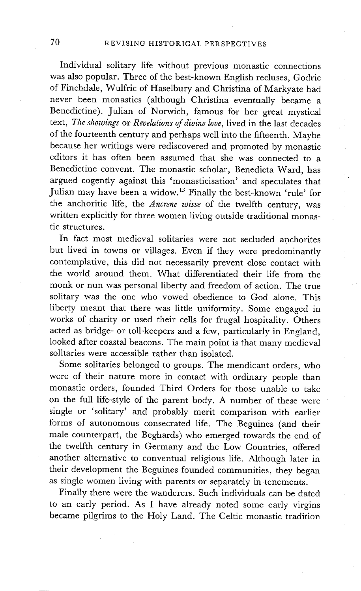Individual solitary life without previous monastic connections was also popular. Three of the best-known English recluses, Godric of Finchdale, Wulfric of Haselbury and Christina of Markyate had never been monastics (although Christina eventually became a Benedictine). Julian of Norwich, famous for her great mystical text, *The showings* or *Revelations of divine love,* lived in the last decades of the fourteenth century and perhaps well into the fifteenth. Maybe because her writings were rediscovered and promoted by monastic editors it has often been assumed that she was connected to a Benedictine convent. The monastic scholar, Benedicta Ward, has argued cogently against this 'monasticisation' and speculates that Julian may have been a widow. 13 Finally the best-known 'rule' for the anchoritic life, the *Ancrene wisse* of the twelfth century, was written explicitly for three women living outside traditional monastic structures.

In fact most medieval solitaries were not secluded anchorites but lived in towns or villages. Even if they were predominantly contemplative, this did not necessarily prevent close contact with the world around them. What differentiated their life from the monk or nun was personal liberty and freedom of action. The true solitary was the one who vowed obedience to God alone. This liberty meant that there was little uniformity. Some engaged in works of charity or used their cells for frugal hospitality. Others acted as bridge: or toll-keepers and a few, particularly in England, looked after coastal beacons. The main point is that many medieval solitaries were accessible rather than isolated.

Some solitaries belonged to groups. The mendicant orders, who were of their nature more in contact with ordinary people than monastic orders, founded Third Orders for those unable to take on the full life-style of the parent body. A number of these were single or 'solitary' and probably merit comparison with earlier forms of autonomous consecrated life. The Beguines (and their male counterpart, the Beghards) who emerged towards the end of the twelfth century in Germany and the Low Countries, offered another alternative to conventual religious life. Although later in their development the Beguines founded communities, they began as single women living with parents or separately in tenements.

Finally there were the wanderers. Such individuals can be dated to an early period. As I have already noted some early virgins became pilgrims to the Holy Land. The Celtic monastic tradition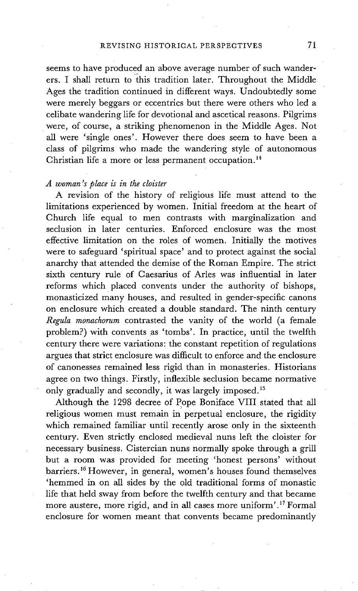#### REVISING HISTORICAL PERSPECTIVES 71

seems to have produced an above average number of such wanderers. I shall return to this tradition later. Throughout the Middle Ages the tradition continued in different ways. Undoubtedly some were merely beggars or eccentrics but there were others who led a celibate wandering life for devotional and ascetical reasons. Pilgrims were, of course, a striking phenomenon in the Middle Ages. Not all were 'single ones'. However there does seem to have been a class of pilgrims who made the wandering style of autonomous Christian life a more or less permanent occupation.<sup>14</sup>

#### *A woman's place is in the cloister*

A revision of the history of religious life must attend to the limitations experienced by women. Initial freedom at the heart of Church life equal to men contrasts with marginalization and seclusion in later centuries. Enforced enclosure was the most effective limitation on the roles of women. Initially the motives were to safeguard 'spiritual space' and to protect against the social anarchy that attended the demise of the Roman Empire. The strict sixth century rule of Caesarius of Arles was influential in later reforms which placed convents under the authority of bishops, monasticized many houses, and resulted in gender-specific canons on enclosure which created a double standard. The ninth century *Regula monachorum* contrasted the vanity of the world (a female problem?) with convents as 'tombs'. In practice, until the twelfth century there were variations: the constant repetition of regulations argues that strict enclosure was difficult to enforce and the enclosure of canonesses remained less rigid than in monasteries. Historians agree on two things. Firstly, inflexible seclusion became normative only gradually and secondly, it was largely imposed.<sup>15</sup>

Although the 1298 decree of Pope Boniface VIII stated that all religious women must remain in perpetual enclosure, the rigidity which remained familiar until recently arose only in the sixteenth century. Even strictly enclosed medieval nuns left the cloister for necessary business. Cistercian nuns normally spoke through a grill but a room was provided for meeting 'honest persons' without barriers. 16 However, in general, women's houses found themselves 'hemmed in on all sides by the old traditional forms of monastic life that held sway from before the twelfth century and that became more austere, more rigid, and in all cases more uniform'.<sup>17</sup> Formal enclosure for women meant that convents became predominantly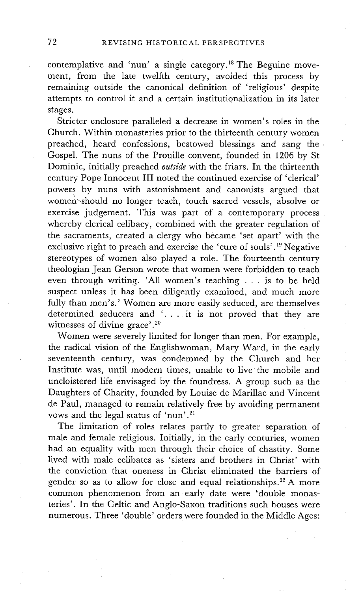contemplative and 'nun' a single category.<sup>18</sup> The Beguine movement, from the late twelfth century, avoided this process by remaining outside the canonical definition of 'religious' despite attempts to control it and a certain institutionalization in its later stages.

Stricter enclosure paralleled a decrease in women's roles in the Church. Within monasteries prior to the thirteenth century women preached, heard confessions, bestowed blessings and sang the Gospel. The nuns of the Prouille convent, founded in 1206 by St Dominic, initially preached *outside* with the friars. In the thirteenth century Pope Innocent III noted the continued exercise of 'clerical' powers by nuns with astonishment and canonists argued that \ women'should no longer teach, touch sacred vessels, absolve or exercise judgement. This was part of a contemporary process whereby clerical celibacy, combined with the greater regulation of the sacraments, created a clergy who became 'set apart' with the exclusive right to preach and exercise the 'cure of souls' .19 Negative stereotypes of women also played a role. The fourteenth century theologian Jean Gerson wrote that women were forbidden to teach even through writing. 'All women's teaching . . . is to be held suspect unless it has been diligently examined, and much more fully than men's.' Women are more easily seduced, are themselves determined seducers and '... it is not proved that they are witnesses of divine grace'.<sup>20</sup>

Women were severely limited for longer than men. For example, the radical vision of the Englishwoman, Mary Ward, in the early seventeenth century, was condemned by the Church and her Institute was, until modern times, unable to live the mobile and uncloistered life envisaged by the foundress. A group such as the Daughters of Charity, founded by Louise de Marillac and Vincent de Paul, managed to remain relatively free by avoiding permanent vows and the legal status of 'nun'.<sup>21</sup>

The limitation of roles relates partly to greater separation of male and female religious. Initially, in the early centuries, women had an equality with men through their choice of chastity. Some lived with male celibates as 'sisters and brothers in Christ' with the conviction that oneness in Christ eliminated the barriers of gender so as to allow for close and equal relationships.<sup>22</sup> A more common phenomenon from an early date were 'double monasteries'. In the Celtic and Anglo-Saxon traditions such houses were numerous. Three 'double' orders were founded in the Middle Ages: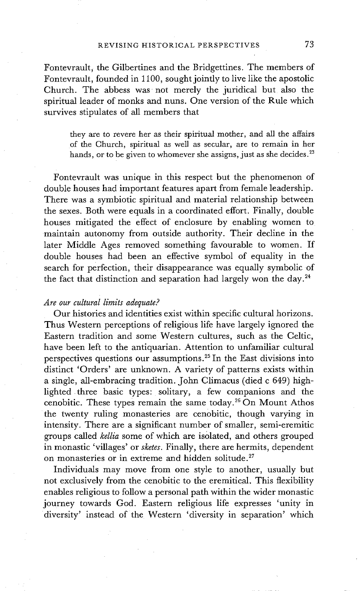Fontevrault, the Gilbertines and the Bridgettines. The members of Fontevrault, founded in 1100, sought jointly to live like the apostolic Church. The abbess was not merely the juridical but also the spiritual leader of monks and nuns. One version of the Rule which survives stipulates of all members that

they are to revere her as their spiritual mother, and all the affairs of the Church, spiritual as well as secular, are to remain in her hands, or to be given to whomever she assigns, just as she decides.<sup>23</sup>

Fontevrault was unique in this respect but the phenomenon of double houses had important features apart from female leadership. There was a symbiotic spiritual and material relationship between the sexes. Both were equals in a coordinated effort. Finally, double houses mitigated the effect of enclosure by enabling women to maintain autonomy from outside authority. Their decline in the later Middle Ages removed something favourable to women. If double houses had been an effective symbol of equality in the search for perfection, their disappearance was equally symbolic of the fact that distinction and separation had largely won the day.<sup>24</sup>

#### *Are our cultural limits adequate?*

Our histories and identities exist within specific cultural horizons. Thus Western perceptions of religious life have largely ignored the Eastern tradition and some Western cultures, such as the Celtic, have been left to the antiquarian. Attention to unfamiliar cultural perspectives questions our assumptions. 25 In the East divisions into distinct 'Orders' are unknown. A variety of patterns exists within a single, all-embracing tradition. John Climacus (died c 649) highlighted three basic types: solitary, a few companions and the cenobitic. These types remain the same today. 26 On Mount Athos the twenty ruling monasteries are cenobitic, though varying in intensity. There are a significant number of smaller, semi-eremitic groups called *kellia* some of which are isolated, and others grouped in monastic 'villages' or *sketes.* Finally, there are hermits, dependent on monasteries or in extreme and hidden solitude. 27

Individuals may move from one style to another, usually but not exclusively from the cenobitic to the eremitical. This flexibility enables religious to follow a personal path within the wider monastic journey towards God. Eastern religious life expresses 'unity in diversity' instead of the Western 'diversity in separation' which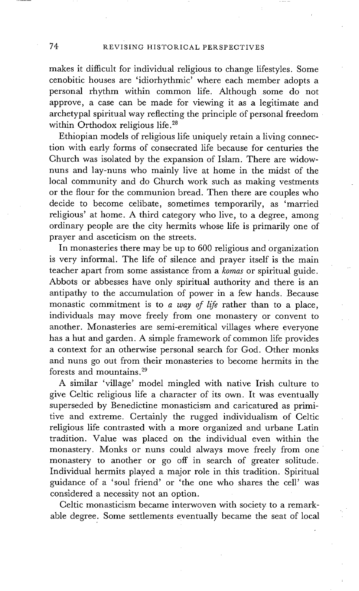makes it difficult for individual religious to change lifestyles. Some cenobitic houses are 'idiorhythmic' where each member adopts a personal rhythm within common life. Although some do not approve, a case can be made for viewing it as a legitimate and archetypal spiritual way reflecting the principle of personal freedom within Orthodox religious life.<sup>28</sup>

Ethiopian models of religious life uniquely retain a living connection with early forms of consecrated life because for centuries the Church was isolated by the expansion of Islam. There are widownuns and lay-nuns who mainly live at home in the midst of the local community and do Church work such as making vestments or the flour for the communion bread. Then there are couples who decide to become celibate, sometimes temporarily, as 'married religious' at home. A third category who live, to a degree, among ordinary people are the city hermits whose life is primarily one of prayer and asceticism on the streets.

In monasteries there may be up to 600 religious and organization is very informal. The life of silence and prayer itself is the main teacher apart from some assistance from a *komas* or spiritual guide. Abbots or abbesses have only spiritual authority and there is an antipathy to the accumulation of power in a few hands. Because monastic commitment is to *a way of life* rather than to a place, individuals may move freely from one monastery or convent to another. Monasteries are semi-eremitical villages where everyone has a hut and garden. A simple framework of common life provides a context for an otherwise personal search for God. Other monks and nuns go out from their monasteries to become hermits in the forests and mountains. 29

A similar 'village' model mingled with native Irish culture to give Celtic religious life a character of its own. It was eventually superseded by Benedictine monasticism and caricatured as primitive and extreme. Certainly the rugged individualism of Celtic religious life contrasted with a more organized and urbane Latin tradition. Value was placed on the individual even within the monastery. Monks or nuns could always move freely from one monastery to another or go off in search of greater solitude. Individual hermits played a major role in this tradition. Spiritual guidance of a 'soul friend' or 'the one who shares the cell' was considered a necessity not an option.

Celtic monasticism became interwoven with society to a remarkable degree. Some settlements eventually became the seat of local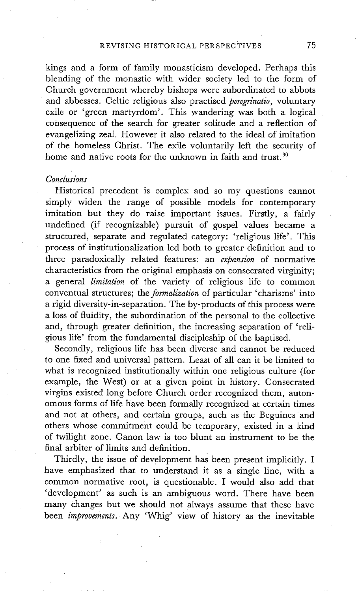kings and a form of family monasticism developed. Perhaps this blending of the monastic with wider society led to the form of Church government whereby bishops were subordinated to abbots • and abbesses. Celtic religious also practised *peregrinatio,* voluntary exile or 'green martyrdom'. This wandering was both a logical consequence of the search for greater solitude and a reflection of evangelizing zeal. However it also related to the ideal of imitation of the homeless Christ. The exile voluntarily left the security of home and native roots for the unknown in faith and trust.<sup>30</sup>

### *Conclusions*

Historical precedent is complex and so my questions cannot simply widen the range of possible models for contemporary imitation but they do raise important issues. Firstly, a fairly undefined (if recognizable) pursuit of gospel values became a structured, separate and regulated category: 'religious life'. This process of institutionalization led both to greater definition and to three paradoxically related features: an *expansion* of normative characteristics from the original emphasis on consecrated virginity; a general *limitation* of the variety of religious life to common conventual structures; the *formalization* of particular 'charisms' into a rigid diversity-in-separation. The by-products of this process were a loss of fluidity, the subordination of the personal to the collective and, through greater definition, the increasing separation of 'religious life' from the fundamental discipleship of the baptised.

Secondly, religious life has been diverse and cannot be reduced to one fixed and universal pattern. Least of all can it be limited to what is recognized institutionally within one religious culture (for example, the West) or at a given point in history. Consecrated virgins existed long before Church order recognized them, autonomous forms of life have been formally recognized at certain times and not at others, and certain groups, such as the Beguines and others whose commitment could be temporary, existed in a kind of twilight zone. Canon law is too blunt an instrument to be the final arbiter of limits and definition.

Thirdly, the issue of development has been present implicitly. I have emphasized that to understand it as a single line, with a common normative root, is questionable. I would also add that 'development' as such is an ambiguous word. There have been many Changes but we should not always assume that these have been *improvements.* Any 'Whig' view of history as the inevitable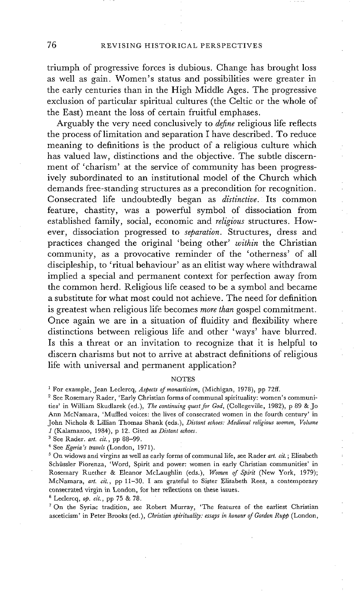triumph of progressive forces is dubious. Change has brought loss as well as gain. Women's status and possibilities were greater in the early centuries than in the High Middle Ages. The progressive exclusion of particular spiritual cultures (the Celtic or the whole of the East) meant the loss of certain fruitful emphases.

Arguably the very need conclusively to *define* religious life reflects the process of limitation and separation I have described. To reduce meaning to definitions is the product of a religious culture which has valued law, distinctions and the objective. The subtle discernment of 'charism' at the service of community has been progressively subordinated to an institutional model of the Church which demands free-standing structures as a precondition for recognition. Consecrated life undoubtedly began as *distinctive*. Its common feature, chastity, was a powerful symbol of dissociation from established family, social, economic and *religious* structures. However, dissociation progressed to *separation.* Structures, dress and practices changed the original 'being other' *within* the Christian community, as a provocative reminder of the 'otherness' of all discipleship, to 'ritual behaviour' as an elitist way where withdrawal implied a special and permanent context for perfection away from the common herd. Religious life ceased to be a symbol and became a substitute for what most could not achieve. The need for definition is greatest when religious life becomes *more than* gospel commitment. Once again we are in a situation of fluidity and flexibility where distinctions between religious life and other 'ways' have blurred. Is this a threat or an invitation to recognize that it is helpful to discern charisms but not to arrive at abstract definitions of religious life with universal and permanent application?

#### NOTES

1 For example, Jean Leclercq, *Aspects of monasticism,* (Michigan, 1978), pp 72ff.

2 See Rosemary Rader, 'Early Christian forms of communal spirituality: women's communities' in William Skudlarek (ed.), *The continuing quest for God,* (Collegeville, 1982), p 89 & Jo Ann McNamara, 'Muffled voices: the lives of consecrated women in the fourth century' in John Nichols & Lillian Thomas Shank (eds.), *Distant echoes: Medieval religious women, Volume*  1 (Kalamazoo, 1984), p 12. Cited as *Distant echoes.* 

3 See Rader. *art. cir.,* pp 88-99.

4 See *Egeria's travels* (London, 1971).

5 On widows and virgins as well as early forms of communal life, see Rader *art. cit.* ; Elisabeth Schiissler Fiorenza, 'Word, Spirit and power: women in early Christian communities' in Rosemary Ruether & Eleanor McLaughlin (eds.), *Women of Spirit* (New York, 1979); McNamara, art. cit., pp 11-30. I am grateful to Sister Elisabeth Rees, a contemporary consecrated virgin in London, for her reflections on these issues.

6 LecIercq, 0p. *cir.,* pp 75 & 78.

<sup>7</sup> On the Syriac tradition, see Robert Murray, 'The features of the earliest Christian asceticism' in Peter Brooks (ed.), *Christian spirituality: essays in honour of Gordon Rupp* (London,